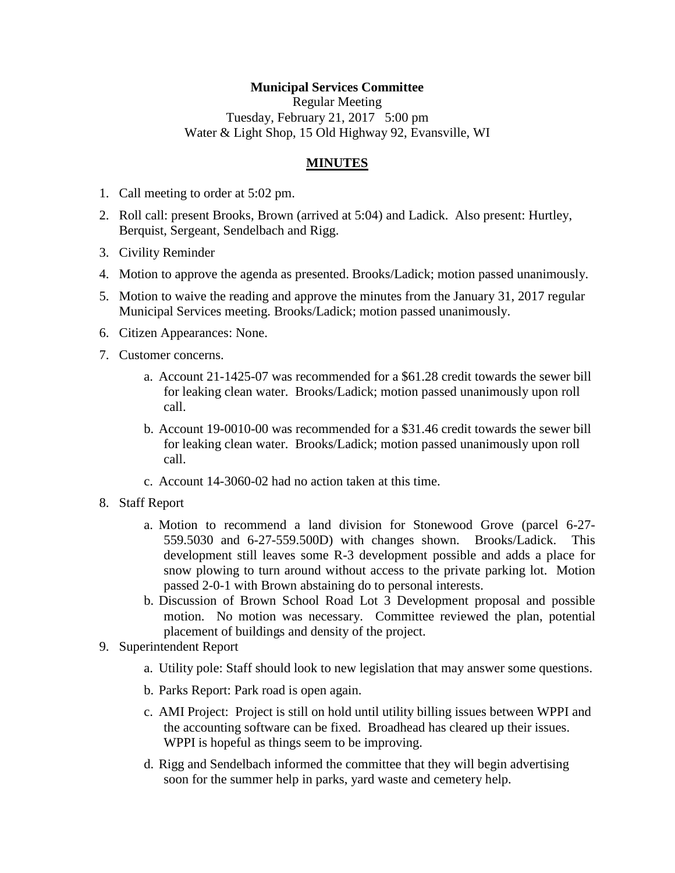## **Municipal Services Committee**

Regular Meeting Tuesday, February 21, 2017 5:00 pm Water & Light Shop, 15 Old Highway 92, Evansville, WI

## **MINUTES**

- 1. Call meeting to order at 5:02 pm.
- 2. Roll call: present Brooks, Brown (arrived at 5:04) and Ladick. Also present: Hurtley, Berquist, Sergeant, Sendelbach and Rigg.
- 3. Civility Reminder
- 4. Motion to approve the agenda as presented. Brooks/Ladick; motion passed unanimously.
- 5. Motion to waive the reading and approve the minutes from the January 31, 2017 regular Municipal Services meeting. Brooks/Ladick; motion passed unanimously.
- 6. Citizen Appearances: None.
- 7. Customer concerns.
	- a. Account 21-1425-07 was recommended for a \$61.28 credit towards the sewer bill for leaking clean water. Brooks/Ladick; motion passed unanimously upon roll call.
	- b. Account 19-0010-00 was recommended for a \$31.46 credit towards the sewer bill for leaking clean water. Brooks/Ladick; motion passed unanimously upon roll call.
	- c. Account 14-3060-02 had no action taken at this time.
- 8. Staff Report
	- a. Motion to recommend a land division for Stonewood Grove (parcel 6-27- 559.5030 and 6-27-559.500D) with changes shown. Brooks/Ladick. This development still leaves some R-3 development possible and adds a place for snow plowing to turn around without access to the private parking lot. Motion passed 2-0-1 with Brown abstaining do to personal interests.
	- b. Discussion of Brown School Road Lot 3 Development proposal and possible motion. No motion was necessary. Committee reviewed the plan, potential placement of buildings and density of the project.
- 9. Superintendent Report
	- a. Utility pole: Staff should look to new legislation that may answer some questions.
	- b. Parks Report: Park road is open again.
	- c. AMI Project: Project is still on hold until utility billing issues between WPPI and the accounting software can be fixed. Broadhead has cleared up their issues. WPPI is hopeful as things seem to be improving.
	- d. Rigg and Sendelbach informed the committee that they will begin advertising soon for the summer help in parks, yard waste and cemetery help.